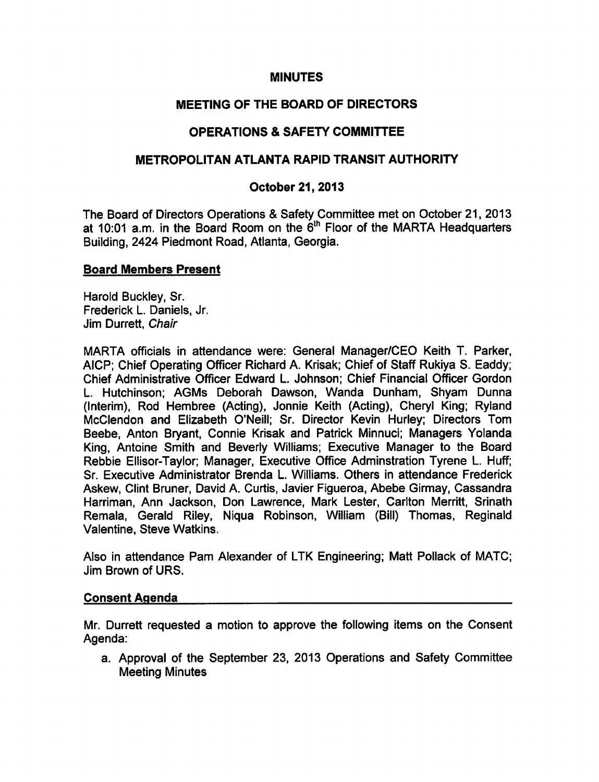### MINUTES

## MEETING OF THE BOARD OF DIRECTORS

## OPERATIONS SAFETY COMMITTEE

## METROPOLITAN ATLANTA RAPID TRANSIT AUTHORITY

### October 21, 2013

The Board of Directors Operations & Safety Committee met on October 21, 2013 at 10:01 a.m. in the Board Room on the  $6<sup>th</sup>$  Floor of the MARTA Headquarters Building, 2424 Piedmont Road, Atlanta, Georgia.

### Board Members Present

Harold Buckley, Sr. Frederick L. Daniels, Jr. Jim Durrett, Chair

MARTA officials in attendance were: General Manager/CEO Keith T. Parker, AICP; Chief Operating Officer Richard A. Krisak; Chief of Staff Rukiya S. Eaddy; Chief Administrative Officer Edward L. Johnson; Chief Financial Officer Gordon L. Hutchinson; AGMs Deborah Dawson, Wanda Dunham, Shyam Dunna (Interim), Rod Hembree (Acting), Jonnie Keith (Acting), Cheryl King; Ryland McClendon and Elizabeth O'Neill; Sr. Director Kevin Hurley; Directors Tom Beebe, Anton Bryant, Connie Krisak and Patrick Minnuci; Managers Yolanda King, Antoine Smith and Beverly Williams; Executive Manager to the Board Rebbie Ellisor-Taylor; Manager, Executive Office Adminstration Tyrene L. Huff; Sr. Executive Administrator Brenda L. Williams. Others in attendance Frederick Askew, Clint Bruner, David A. Curtis, Javier Figueroa, Abebe Girmay, Cassandra Harriman, Ann Jackson, Don Lawrence, Mark Lester, Carlton Merritt, Srinath Remala, Gerald Riley, Niqua Robinson, William (Bill) Thomas, Reginald Valentine, Steve Watkins.

Also in attendance Pam Alexander of LTK Engineering; Matt Pollack of MATC; Jim Brown of URS.

### Consent Agenda

Mr. Durrett requested a motion to approve the following items on the Consent Agenda:

a. Approval of the September 23, 2013 Operations and Safety Committee Meeting Minutes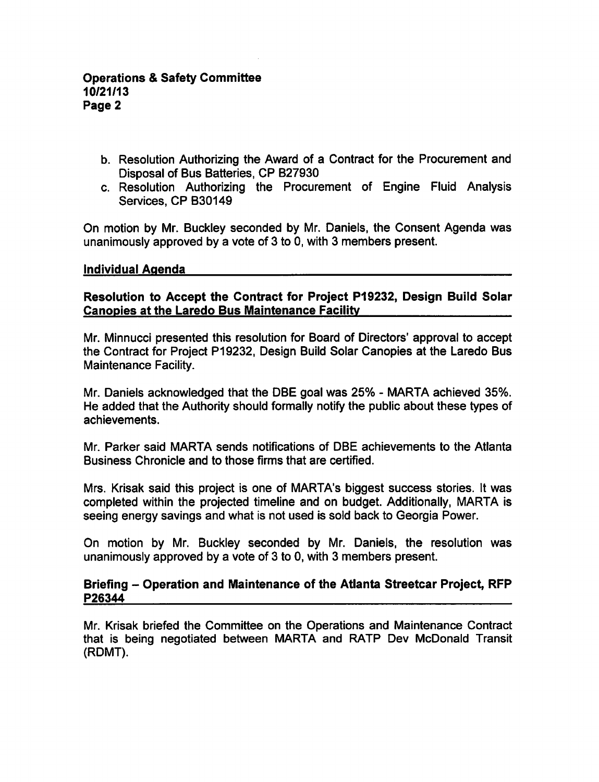- b. Resolution Authorizing the Award of a Contract for the Procurement and Disposal of Bus Batteries, CP B27930
- c. Resolution Authorizing the Procurement of Engine Fluid Analysis Services, CP B30149

On motion by Mr. Buckley seconded by Mr. Daniels, the Consent Agenda was unanimously approved by a vote of 3 to 0, with 3 members present.

#### Individual Agenda

Resolution to Accept the Contract for Project P19232, Design Build Solar Canopies at the Laredo Bus Maintenance Facility

Mr. Minnucci presented this resolution for Board of Directors' approval to accept the Contract for Project P19232, Design Build Solar Canopies at the Laredo Bus Maintenance Facility.

Mr. Daniels acknowledged that the DBE goal was 25% - MARTA achieved 35%. He added that the Authority should formally notify the public about these types of achievements.

Mr. Parker said MARTA sends notifications of DBE achievements to the Atlanta Business Chronicle and to those firms that are certified.

Mrs. Krisak said this project is one of MARTA's biggest success stories. It was completed within the projected timeline and on budget. Additionally, MARTA is seeing energy savings and what is not used is sold back to Georgia Power.

On motion by Mr. Buckley seconded by Mr. Daniels, the resolution was unanimously approved by a vote of 3 to 0, with 3 members present.

#### Briefing - Operation and Maintenance of the Atlanta Streetcar Project, RFP P26344

Mr. Krisak briefed the Committee on the Operations and Maintenance Contract that is being negotiated between MARTA and RATP Dev McDonald Transit (RDMT).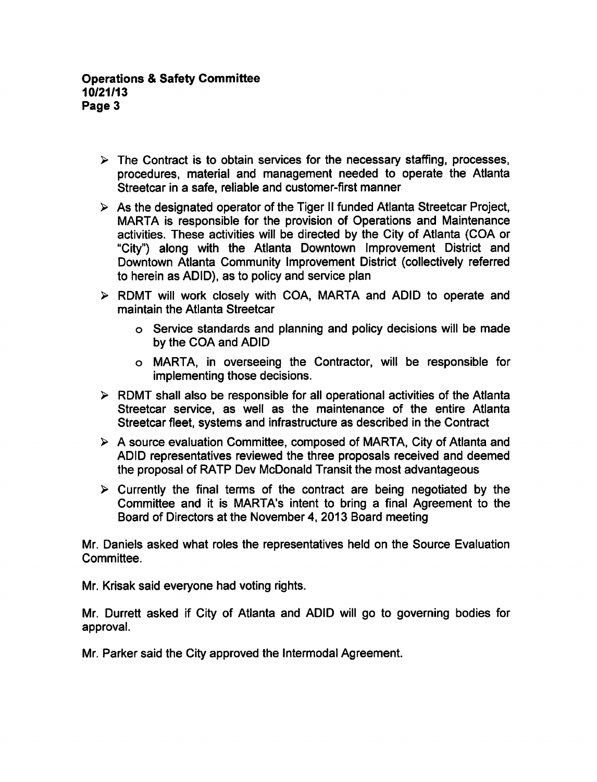- $\triangleright$  The Contract is to obtain services for the necessary staffing, processes, procedures, material and management needed to operate the Atlanta Streetcar in a safe, reliable and customer-first manner
- $\triangleright$  As the designated operator of the Tiger II funded Atlanta Streetcar Project, MARTA is responsible for the provision of Operations and Maintenance activities. These activities will be directed by the City of Atlanta (COA or "City") along with the Atlanta Downtown Improvement District and Downtown Atlanta Community Improvement District (collectively referred to herein as ADID), as to policy and service plan
- RDMT will work closely with COA, MARTA and ADID to operate and maintain the Atlanta Streetcar
	- Service standards and planning and policy decisions will be made by the COA and ADID
	- MARTA, in overseeing the Contractor, will be responsible for implementing those decisions.
- $\triangleright$  RDMT shall also be responsible for all operational activities of the Atlanta Streetcar service, as well as the maintenance of the entire Atlanta Streetcar fleet, systems and infrastructure as described in the Contract
- $\triangleright$  A source evaluation Committee, composed of MARTA, City of Atlanta and ADID representatives reviewed the three proposals received and deemed the proposal of RATP Dev McDonald Transit the most advantageous
- $\triangleright$  Currently the final terms of the contract are being negotiated by the Committee and it is MARTA's intent to bring a final Agreement to the Board of Directors at the November 4, 2013 Board meeting

Mr. Daniels asked what roles the representatives held on the Source Evaluation Committee.

Mr. Krisak said everyone had voting rights.

Mr. Durrett asked if City of Atlanta and ADID will go to governing bodies for approval.

Mr. Parker said the City approved the Intermodal Agreement.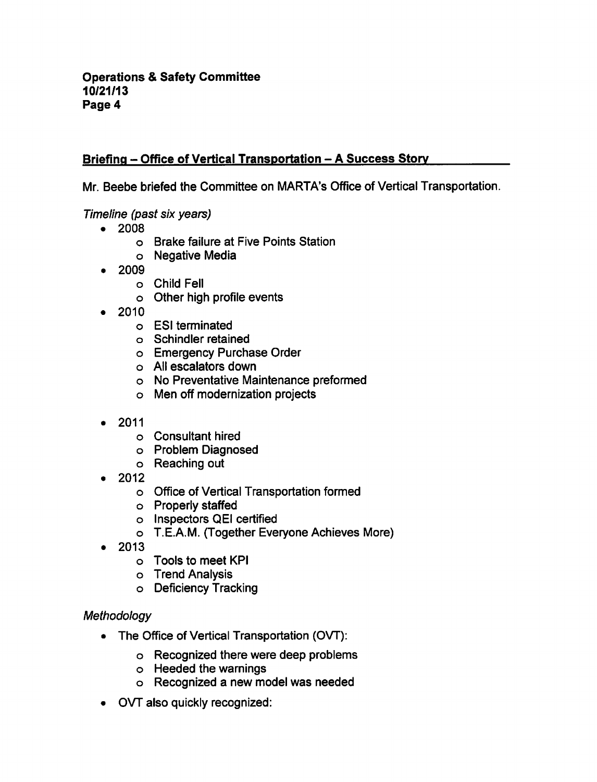# Briefing - Office of Vertical Transportation - A Success Story

Mr. Beebe briefed the Committee on MARTA's Office of Vertical Transportation.

### Timeline (past six years)

- 2008
	- Brake failure at Five Points Station
	- Negative Media
- 2009  $\bullet$ 
	- Child Fell
	- o Other high profile events
- 2010
	- ESI terminated
	- Schindler retained
	- Emergency Purchase Order
	- All escalators down
	- No Preventative Maintenance preformed
	- Men off modernization projects
- 2011
	- Consultant hired
	- Problem Diagnosed
	- Reaching out
- 2012
	- Office of Vertical Transportation formed
	- Properly staffed
	- o Inspectors QEI certified
	- T.E.A.M. (Together Everyone Achieves More)
- 2013
	- Tools to meet KPI
	- o Trend Analysis
	- Deficiency Tracking

### **Methodology**

- The Office of Vertical Transportation (OVT):
	- Recognized there were deep problems
	- Heeded the warnings
	- o Recognized a new model was needed
- OVT also quickly recognized: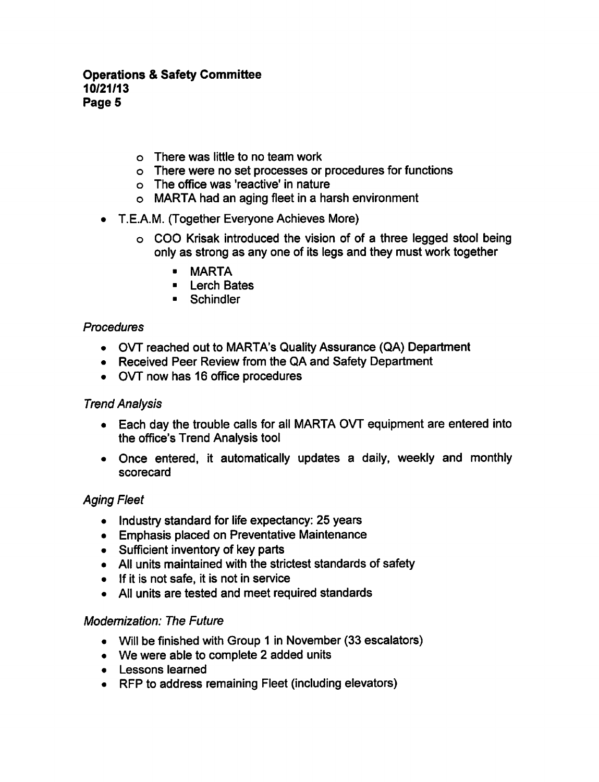#### **Operations & Safety Committee** 10/21/13 Page 5

- There was little to no team work
- There were no set processes or procedures for functions
- The office was 'reactive' in nature
- $\circ$  MARTA had an aging fleet in a harsh environment
- T.E.A.M. (Together Everyone Achieves More)
	- $\circ$  COO Krisak introduced the vision of of a three legged stool being only as strong as any one of its legs and they must work together
		- MARTA
		- **Exerch Bates**
		- Schindler

#### Procedures

- OVT reached out to MARTA's Quality Assurance (QA) Department
- Received Peer Review from the QA and Safety Department
- OVT now has 16 office procedures

### Trend Analysis

- Each day the trouble calls for all MARTA OVT equipment are entered into the office's Trend Analysis tool
- Once entered, it automatically updates a daily, weekly and monthly scorecard

## Aging Fleet

- Industry standard for life expectancy: 25 years
- Emphasis placed on Preventative Maintenance
- Sufficient inventory of key parts
- All units maintained with the strictest standards of safety
- If it is not safe, it is not in service
- All units are tested and meet required standards

### Modernization: The Future

- Will be finished with Group 1 in November (33 escalators)
- We were able to complete 2 added units
- Lessons learned
- RFP to address remaining Fleet (including elevators)